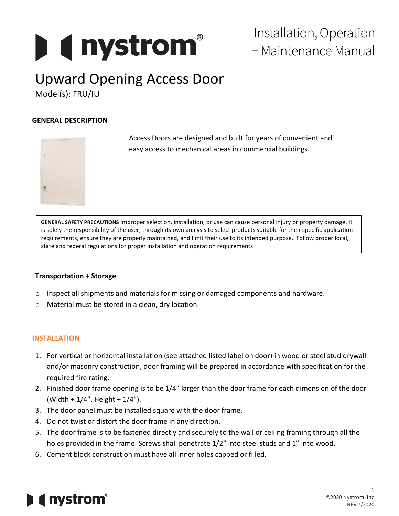# **Designation**

### Installation, Operation + Maintenance Manual

# Upward Opening Access Door

Model(s): FRU/IU

#### **GENERAL DESCRIPTION**



Access Doors are designed and built for years of convenient and easy access to mechanical areas in commercial buildings.

**GENERAL SAFETY PRECAUTIONS** Improper selection, installation, or use can cause personal injury or property damage. It is solely the responsibility of the user, through its own analysis to select products suitable for their specific application requirements, ensure they are properly maintained, and limit their use to its intended purpose. Follow proper local, state and federal regulations for proper installation and operation requirements.

#### **Transportation + Storage**

- $\circ$  Inspect all shipments and materials for missing or damaged components and hardware.
- o Material must be stored in a clean, dry location.

#### **INSTALLATION**

- 1. For vertical or horizontal installation (see attached listed label on door) in wood or steel stud drywall and/or masonry construction, door framing will be prepared in accordance with specification for the required fire rating.
- 2. Finished door frame opening is to be 1/4" larger than the door frame for each dimension of the door (Width + 1/4", Height + 1/4").
- 3. The door panel must be installed square with the door frame.
- 4. Do not twist or distort the door frame in any direction.
- 5. The door frame is to be fastened directly and securely to the wall or ceiling framing through all the holes provided in the frame. Screws shall penetrate 1/2" into steel studs and 1" into wood.
- 6. Cement block construction must have all inner holes capped or filled.

## $\blacksquare$  ( nystrom